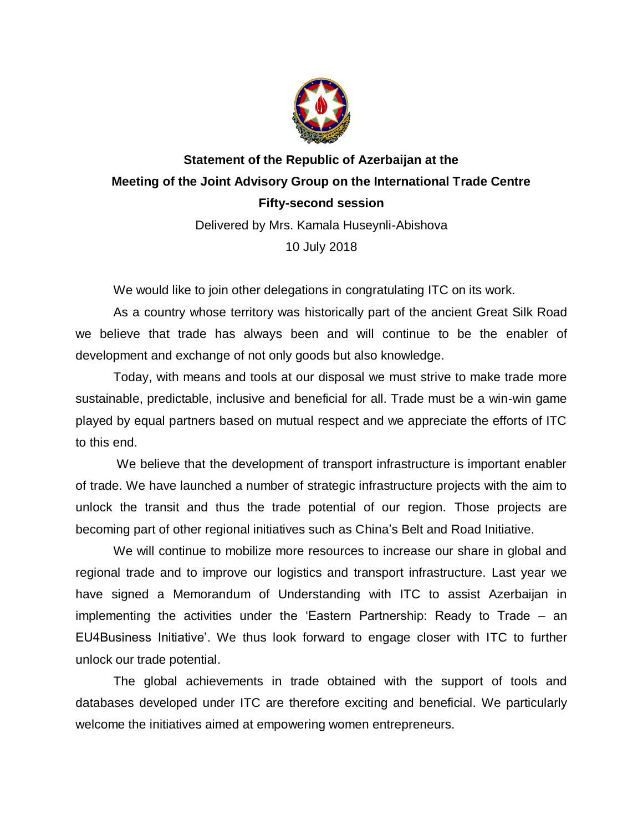

## **Statement of the Republic of Azerbaijan at the Meeting of the Joint Advisory Group on the International Trade Centre Fifty-second session**

Delivered by Mrs. Kamala Huseynli-Abishova 10 July 2018

We would like to join other delegations in congratulating ITC on its work.

As a country whose territory was historically part of the ancient Great Silk Road we believe that trade has always been and will continue to be the enabler of development and exchange of not only goods but also knowledge.

Today, with means and tools at our disposal we must strive to make trade more sustainable, predictable, inclusive and beneficial for all. Trade must be a win-win game played by equal partners based on mutual respect and we appreciate the efforts of ITC to this end.

We believe that the development of transport infrastructure is important enabler of trade. We have launched a number of strategic infrastructure projects with the aim to unlock the transit and thus the trade potential of our region. Those projects are becoming part of other regional initiatives such as China's Belt and Road Initiative.

We will continue to mobilize more resources to increase our share in global and regional trade and to improve our logistics and transport infrastructure. Last year we have signed a Memorandum of Understanding with ITC to assist Azerbaijan in implementing the activities under the 'Eastern Partnership: Ready to Trade – an EU4Business Initiative'. We thus look forward to engage closer with ITC to further unlock our trade potential.

The global achievements in trade obtained with the support of tools and databases developed under ITC are therefore exciting and beneficial. We particularly welcome the initiatives aimed at empowering women entrepreneurs.